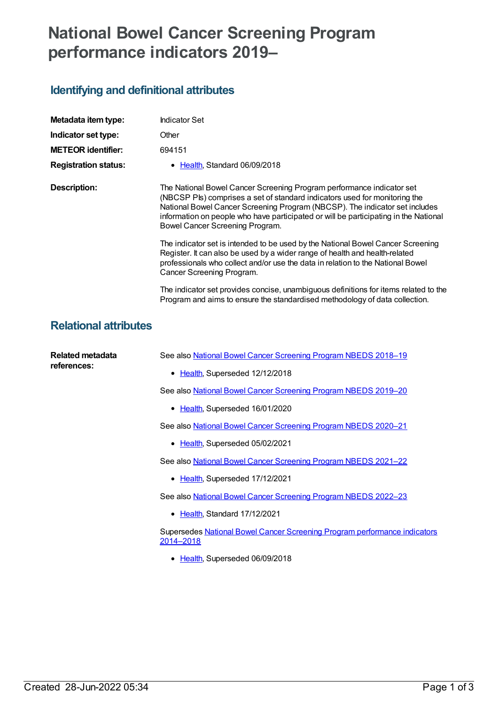# **National Bowel Cancer Screening Program performance indicators 2019–**

## **Identifying and definitional attributes**

| Metadata item type:         | <b>Indicator Set</b>                                                                                                                                                                                                                                                                                                                                          |
|-----------------------------|---------------------------------------------------------------------------------------------------------------------------------------------------------------------------------------------------------------------------------------------------------------------------------------------------------------------------------------------------------------|
| Indicator set type:         | Other                                                                                                                                                                                                                                                                                                                                                         |
| <b>METEOR identifier:</b>   | 694151                                                                                                                                                                                                                                                                                                                                                        |
| <b>Registration status:</b> | • Health, Standard 06/09/2018                                                                                                                                                                                                                                                                                                                                 |
| Description:                | The National Bowel Cancer Screening Program performance indicator set<br>(NBCSP Pls) comprises a set of standard indicators used for monitoring the<br>National Bowel Cancer Screening Program (NBCSP). The indicator set includes<br>information on people who have participated or will be participating in the National<br>Bowel Cancer Screening Program. |
|                             | The indicator set is intended to be used by the National Bowel Cancer Screening<br>Register. It can also be used by a wider range of health and health-related<br>professionals who collect and/or use the data in relation to the National Bowel<br>Cancer Screening Program.                                                                                |
|                             | The indicator set provides concise, unambiguous definitions for items related to the<br>Program and aims to ensure the standardised methodology of data collection.                                                                                                                                                                                           |

#### **Relational attributes**

| Related metadata<br>references: | See also National Bowel Cancer Screening Program NBEDS 2018-19                         |
|---------------------------------|----------------------------------------------------------------------------------------|
|                                 | • Health, Superseded 12/12/2018                                                        |
|                                 | See also National Bowel Cancer Screening Program NBEDS 2019-20                         |
|                                 | Health, Superseded 16/01/2020                                                          |
|                                 | See also National Bowel Cancer Screening Program NBEDS 2020–21                         |
|                                 | • Health, Superseded 05/02/2021                                                        |
|                                 | See also National Bowel Cancer Screening Program NBEDS 2021-22                         |
|                                 | • Health, Superseded 17/12/2021                                                        |
|                                 | See also National Bowel Cancer Screening Program NBEDS 2022-23                         |
|                                 | • Health, Standard 17/12/2021                                                          |
|                                 | Supersedes National Bowel Cancer Screening Program performance indicators<br>2014-2018 |
|                                 | Health, Superseded 06/09/2018                                                          |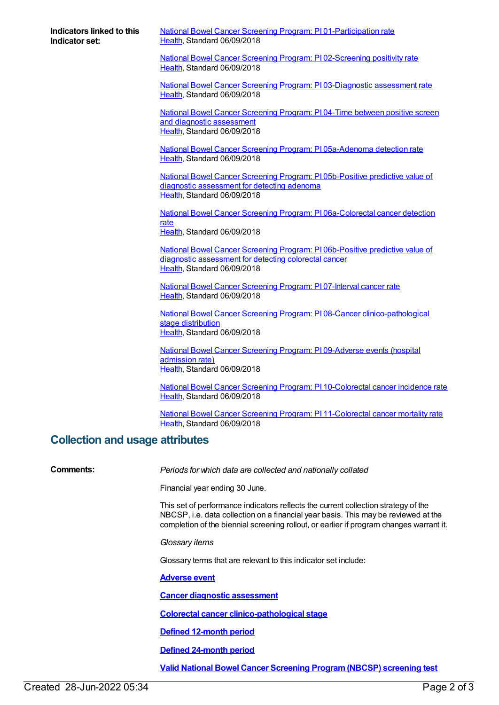**Indicators linked to this Indicator set:**

National Bowel Cancer Screening Program: PI [01-Participation](https://meteor.aihw.gov.au/content/694155) rate [Health](https://meteor.aihw.gov.au/RegistrationAuthority/12), Standard 06/09/2018

National Bowel Cancer Screening Program: PI [02-Screening](https://meteor.aihw.gov.au/content/694158) positivity rate [Health](https://meteor.aihw.gov.au/RegistrationAuthority/12), Standard 06/09/2018

National Bowel Cancer Screening Program: PI [03-Diagnostic](https://meteor.aihw.gov.au/content/694162) assessment rate [Health](https://meteor.aihw.gov.au/RegistrationAuthority/12), Standard 06/09/2018

National Bowel Cancer Screening Program: PI 04-Time between positive screen and diagnostic [assessment](https://meteor.aihw.gov.au/content/694168) [Health](https://meteor.aihw.gov.au/RegistrationAuthority/12), Standard 06/09/2018

National Bowel Cancer Screening Program: PI [05a-Adenoma](https://meteor.aihw.gov.au/content/694172) detection rate [Health](https://meteor.aihw.gov.au/RegistrationAuthority/12), Standard 06/09/2018

National Bowel Cancer Screening Program: PI [05b-Positive](https://meteor.aihw.gov.au/content/694174) predictive value of diagnostic assessment for detecting adenoma [Health](https://meteor.aihw.gov.au/RegistrationAuthority/12), Standard 06/09/2018

National Bowel Cancer Screening Program: PI [06a-Colorectal](https://meteor.aihw.gov.au/content/694176) cancer detection rate

[Health](https://meteor.aihw.gov.au/RegistrationAuthority/12), Standard 06/09/2018

National Bowel Cancer Screening Program: PI [06b-Positive](https://meteor.aihw.gov.au/content/694179) predictive value of diagnostic assessment for detecting colorectal cancer [Health](https://meteor.aihw.gov.au/RegistrationAuthority/12), Standard 06/09/2018

National Bowel Cancer Screening Program: PI [07-Interval](https://meteor.aihw.gov.au/content/694181) cancer rate [Health](https://meteor.aihw.gov.au/RegistrationAuthority/12), Standard 06/09/2018

National Bowel Cancer Screening Program: PI 08-Cancer [clinico-pathological](https://meteor.aihw.gov.au/content/694183) stage distribution [Health](https://meteor.aihw.gov.au/RegistrationAuthority/12), Standard 06/09/2018

National Bowel Cancer Screening Program: PI [09-Adverse](https://meteor.aihw.gov.au/content/694185) events (hospital admission rate) [Health](https://meteor.aihw.gov.au/RegistrationAuthority/12), Standard 06/09/2018

National Bowel Cancer Screening Program: PI [10-Colorectal](https://meteor.aihw.gov.au/content/694187) cancer incidence rate [Health](https://meteor.aihw.gov.au/RegistrationAuthority/12), Standard 06/09/2018

National Bowel Cancer Screening Program: PI [11-Colorectal](https://meteor.aihw.gov.au/content/694189) cancer mortality rate [Health](https://meteor.aihw.gov.au/RegistrationAuthority/12), Standard 06/09/2018

#### **Collection and usage attributes**

**Comments:** *Periods for which data are collected and nationally collated*

Financial year ending 30 June.

This set of performance indicators reflects the current collection strategy of the NBCSP, i.e. data collection on a financial year basis. This may be reviewed at the completion of the biennial screening rollout, or earlier if program changes warrant it.

*Glossary items*

Glossary terms that are relevant to this indicator set include:

**[Adverse](https://meteor.aihw.gov.au/content/570393) event**

**Cancer diagnostic [assessment](https://meteor.aihw.gov.au/content/564074)**

**Colorectal cancer [clinico-pathological](https://meteor.aihw.gov.au/content/569264) stage**

**Defined [12-month](https://meteor.aihw.gov.au/content/569133) period**

**Defined [24-month](https://meteor.aihw.gov.au/content/569124) period**

**Valid National Bowel Cancer Screening [Program\(NBCSP\)](https://meteor.aihw.gov.au/content/569116) screening test**